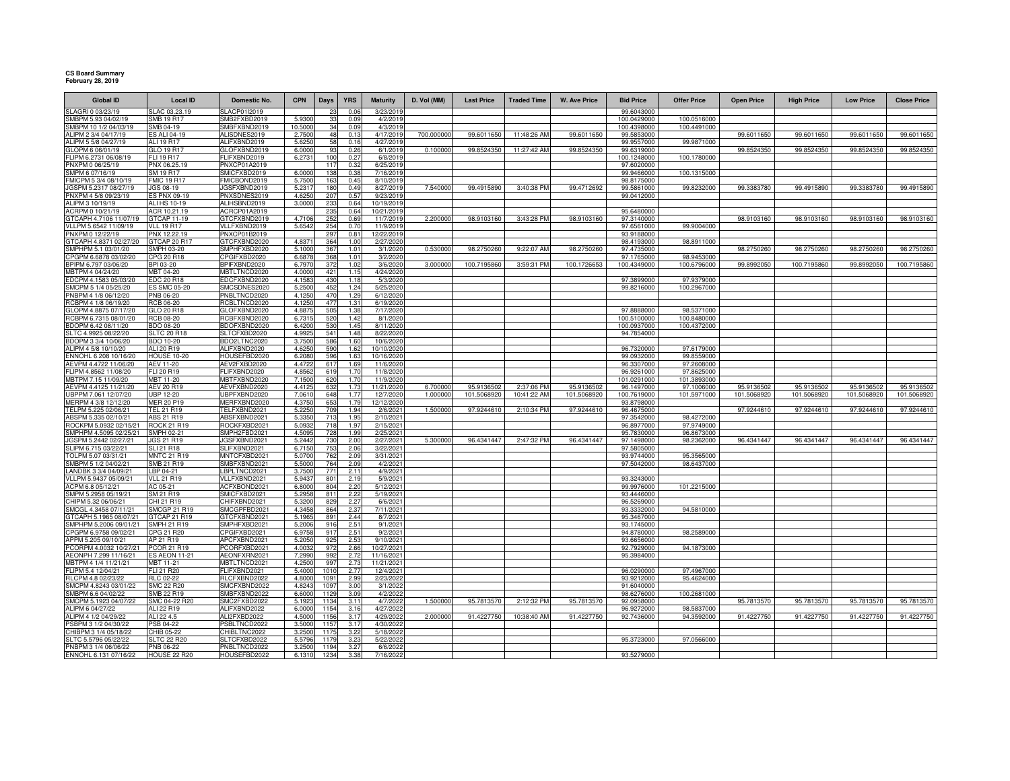## **CS Board Summary February 28, 2019**

| <b>Global ID</b>                                | <b>Local ID</b>                     | Domestic No.                 | <b>CPN</b>      | Days         | <b>YRS</b>   | <b>Maturity</b>        | D. Vol (MM) | <b>Last Price</b> | <b>Traded Time</b> | <b>W. Ave Price</b> | <b>Bid Price</b>          | <b>Offer Price</b>        | <b>Open Price</b> | <b>High Price</b> | <b>Low Price</b> | <b>Close Price</b> |
|-------------------------------------------------|-------------------------------------|------------------------------|-----------------|--------------|--------------|------------------------|-------------|-------------------|--------------------|---------------------|---------------------------|---------------------------|-------------------|-------------------|------------------|--------------------|
| SLAGRI 0 03/23/19                               | SLAC 03.23.19                       | SLACP01I2019                 |                 |              | 0.0          | 3/23/201               |             |                   |                    |                     | 99.6043000                |                           |                   |                   |                  |                    |
| SMBPM 5.93 04/02/19                             | <b>SMB 19 R17</b>                   | SMB2FXBD2019                 | 5.9300          | 33           | 0.05         | 4/2/2019               |             |                   |                    |                     | 100.0429000               | 100.0516000               |                   |                   |                  |                    |
| SMBPM 10 1/2 04/03/19                           | SMB 04-19                           | SMBFXBND2019                 | 10.5000         | 34           | 0.09         | 4/3/201                |             |                   |                    |                     | 100.4398000               | 100.4491000               |                   |                   |                  |                    |
| ALIPM 2 3/4 04/17/19                            | <b>ES ALI 04-19</b>                 | ALISDNES2019                 | 2.7500          | 48           | 0.13         | 4/17/2019              | 700.000000  | 99.6011650        | 11:48:26 AM        | 99.6011650          | 99.5853000                |                           | 99.6011650        | 99.6011650        | 99.6011650       | 99.6011650         |
| ALIPM 5 5/8 04/27/19                            | ALI 19 R17                          | ALIFXBND2019<br>GLOFXBND2019 | 5.625<br>6,0000 | 58           | 0.16         | 4/27/201               | 0.100000    | 99.8524350        | 11:27:42 AN        | 99.8524350          | 99.9557000                | 99.9871000                | 99.8524350        |                   | 99.8524350       | 99.8524350         |
| GLOPM 6 06/01/19<br>FLIPM 6.2731 06/08/19       | GLO 19 R17<br>FLI 19 R17            | FLIFXBND2019                 | 6.273           | 93<br>100    | 0.26<br>0.27 | 6/1/2019<br>6/8/2019   |             |                   |                    |                     | 99.6319000<br>100.1248000 | 100.1780000               |                   | 99.8524350        |                  |                    |
| PNXPM 0 06/25/19                                | PNX 06.25.19                        | PNXCP01A2019                 |                 | 117          | 0.32         | 6/25/2019              |             |                   |                    |                     | 97.6020000                |                           |                   |                   |                  |                    |
| SMPM 6 07/16/19                                 | SM 19 R17                           | SMICFXBD2019                 | 6.0000          | 138          | 0.38         | 7/16/2019              |             |                   |                    |                     | 99.9466000                | 100.1315000               |                   |                   |                  |                    |
| FMICPM 5 3/4 08/10/19                           | <b>FMIC 19 R17</b>                  | FMICBOND2019                 | 5.750           | 163          | 0.45         | 8/10/201               |             |                   |                    |                     | 98.8175000                |                           |                   |                   |                  |                    |
| JGSPM 5.2317 08/27/19                           | JGS 08-19                           | JGSFXBND2019                 | 5.231           | 180          | 0.49         | 8/27/201               | 7.540000    | 99.4915890        | 3:40:38 PM         | 99.4712692          | 99.5861000                | 99.8232000                | 99.3383780        | 99.4915890        | 99.3383780       | 99.4915890         |
| PNXPM 4 5/8 09/23/19                            | ES PNX 09-19                        | PNXSDNES2019                 | 4.625           | 207          | 0.57         | 9/23/201               |             |                   |                    |                     | 99.0412000                |                           |                   |                   |                  |                    |
| ALIPM 3 10/19/19                                | ALI HS 10-19                        | ALIHSBND2019                 | 3.000           | 233          | 0.64         | 10/19/201              |             |                   |                    |                     |                           |                           |                   |                   |                  |                    |
| ACRPM 0 10/21/19<br>GTCAPH 4.7106 11/07/19      | ACR 10.21.19<br>GTCAP 11-19         | ACRCP01A2019<br>GTCFXBND2019 | 4.710           | 235<br>252   | 0.64<br>0.69 | 10/21/201<br>11/7/201  | 2.20000     | 98.9103160        | 3:43:28 PM         | 98.9103160          | 95.6480000<br>97.3140000  |                           | 98.9103160        | 98.9103160        | 98.9103160       | 98.9103160         |
| VLLPM 5.6542 11/09/19                           | <b>VLL 19 R17</b>                   | VLLFXBND2019                 | 5.654           | 254          | 0.70         | 11/9/201               |             |                   |                    |                     | 97.6561000                | 99.9004000                |                   |                   |                  |                    |
| PNXPM 0 12/22/19                                | PNX 12.22.19                        | PNXCP01B2019                 |                 | 297          | 0.81         | 12/22/201              |             |                   |                    |                     | 93.9188000                |                           |                   |                   |                  |                    |
| GTCAPH 4.8371 02/27/20                          | GTCAP 20 R17                        | GTCFXBND2020                 | 4.837           | 364          | 1.00         | 2/27/2020              |             |                   |                    |                     | 98.4193000                | 98.8911000                |                   |                   |                  |                    |
| SMPHPM 5.1 03/01/20                             | SMPH 03-20                          | SMPHFXBD2020                 | 5.1000          | 367          | 1.01         | 3/1/2020               | 0.530000    | 98.2750260        | 9:22:07 AM         | 98.2750260          | 97.4735000                |                           | 98.2750260        | 98.2750260        | 98.2750260       | 98.2750260         |
| CPGPM 6.6878 03/02/20                           | CPG 20 R18                          | CPGIFXBD2020                 | 6.687           | 368          | 1.01         | 3/2/202                |             |                   |                    |                     | 97.1765000                | 98.9453000                |                   |                   |                  |                    |
| BPIPM 6.797 03/06/20                            | BPI 03-20                           | BPIFXBND2020                 | 6.797           | 372          | 1.02         | 3/6/202                | 3.000000    | 100.7195860       | 3:59:31 PM         | 100.1726653         | 100.4349000               | 100.6796000               | 99.8992050        | 100.7195860       | 99.8992050       | 100.7195860        |
| MBTPM 4 04/24/20                                | MBT 04-20                           | MBTLTNCD2020                 | 4.0000          | 421          | 1.15         | 4/24/202               |             |                   |                    |                     |                           |                           |                   |                   |                  |                    |
| EDCPM 4.1583 05/03/20<br>SMCPM 5 1/4 05/25/20   | EDC 20 R18<br><b>ES SMC 05-20</b>   | EDCFXBND2020<br>SMCSDNES2020 | 4.158<br>5.2500 | 430<br>452   | 1.18<br>1.24 | 5/3/2020<br>5/25/202   |             |                   |                    |                     | 97.3899000<br>99.8216000  | 97.9379000<br>100.2967000 |                   |                   |                  |                    |
| PNBPM 4 1/8 06/12/20                            | PNB 06-20                           | PNBLTNCD2020                 | 4.125           | 470          | 1.29         | 6/12/202               |             |                   |                    |                     |                           |                           |                   |                   |                  |                    |
| RCBPM 4 1/8 06/19/20                            | <b>RCB 06-20</b>                    | RCBLTNCD2020                 | 4.125           | 477          | 1.31         | 6/19/202               |             |                   |                    |                     |                           |                           |                   |                   |                  |                    |
| GLOPM 4.8875 07/17/20                           | GLO 20 R18                          | GLOFXBND2020                 | 4.887           | 505          | 1.38         | 7/17/202               |             |                   |                    |                     | 97.8888000                | 98.5371000                |                   |                   |                  |                    |
| RCBPM 6.7315 08/01/20                           | <b>RCB 08-20</b>                    | RCBFXBND2020                 | 6.731           | 520          | 1.42         | 8/1/202                |             |                   |                    |                     | 100.5100000               | 100.8480000               |                   |                   |                  |                    |
| BDOPM 6.42 08/11/20                             | BDO 08-20                           | BDOFXBND2020                 | 6.420           | 530          | 1.45         | 8/11/202               |             |                   |                    |                     | 100.0937000               | 100.4372000               |                   |                   |                  |                    |
| SLTC 4.9925 08/22/20                            | <b>SLTC 20 R18</b>                  | SLTCFXBD2020                 | 4.992           | 541          | 1.48         | 8/22/202               |             |                   |                    |                     | 94.7854000                |                           |                   |                   |                  |                    |
| BDOPM 3 3/4 10/06/20                            | BDO 10-20                           | BDO2LTNC2020                 | 3.750           | 586          | 1.60         | 10/6/202               |             |                   |                    |                     |                           |                           |                   |                   |                  |                    |
| ALIPM 4 5/8 10/10/20<br>FNNOHL 6.208 10/16/20   | ALI 20 R19<br><b>HOUSE 10-20</b>    | ALIFXBND2020<br>HOUSEFBD2020 | 4.625<br>6.208  | 590<br>596   | 1.62<br>1.6  | 10/10/202              |             |                   |                    |                     | 96.7320000<br>99.0932000  | 97.6179000<br>99.8559000  |                   |                   |                  |                    |
| AEVPM 4.4722 11/06/20                           | AEV 11-20                           | AEV2FXBD2020                 | 4.472           | 617          | 1.69         | 10/16/202<br>11/6/202  |             |                   |                    |                     | 96.3307000                | 97.2608000                |                   |                   |                  |                    |
| FLIPM 4.8562 11/08/20                           | FLI 20 R19                          | FLIFXBND2020                 | 4.856           | 619          | 1.7(         | 11/8/202               |             |                   |                    |                     | 96.9261000                | 97.8625000                |                   |                   |                  |                    |
| MBTPM 7.15 11/09/20                             | MBT 11-20                           | MBTFXBND2020                 | 7.150           | 620          | 1.70         | 11/9/202               |             |                   |                    |                     | 101.0291000               | 101.3893000               |                   |                   |                  |                    |
| AEVPM 4.4125 11/21/20                           | AEV 20 R19                          | AEVFXBND2020                 | 4.412           | 632          | 1.73         | 11/21/202              | 6.70000     | 95.9136502        | 2:37:06 PM         | 95.9136502          | 96.1497000                | 97.1006000                | 95.9136502        | 95.9136502        | 95.9136502       | 95.9136502         |
| UBPPM 7.061 12/07/20                            | <b>UBP 12-20</b>                    | UBPFXBND2020                 | 7.061           | 648          | 1.7          | 12/7/202               | 1.000000    | 101.5068920       | 10:41:22 AM        | 101.5068920         | 100.7619000               | 101.5971000               | 101.5068920       | 101.5068920       | 101.5068920      | 101.5068920        |
| MERPM 4 3/8 12/12/20                            | <b>MER 20 P19</b>                   | MERFXBND2020                 | 4.375           | 653          | 1.79         | 12/12/202              |             |                   |                    |                     | 93.8798000                |                           |                   |                   |                  |                    |
| TELPM 5.225 02/06/21                            | <b>TEL 21 R19</b>                   | TELFXBND2021                 | 5.225           | 709          | 1.94         | 2/6/2021               | 1.500000    | 97.9244610        | 2:10:34 PM         | 97.9244610          | 96.4675000                |                           | 97.9244610        | 97.9244610        | 97.9244610       | 97.9244610         |
| ABSPM 5.335 02/10/21<br>ROCKPM 5.0932 02/15/21  | ABS 21 R19<br><b>ROCK 21 R19</b>    | ABSFXBND2021<br>ROCKFXBD2021 | 5.335<br>5.093  | 713<br>718   | 1.95<br>1.97 | 2/10/2021<br>2/15/2021 |             |                   |                    |                     | 97.3542000<br>96.8977000  | 98.4272000<br>97.9749000  |                   |                   |                  |                    |
| SMPHPM 4.5095 02/25/21                          | <b>SMPH 02-21</b>                   | SMPH2FBD2021                 | 4.509           | 728          | 1.99         | 2/25/2021              |             |                   |                    |                     | 95.7830000                | 96.8673000                |                   |                   |                  |                    |
| JGSPM 5.2442 02/27/21                           | <b>JGS 21 R19</b>                   | JGSFXBND2021                 | 5.244           | 730          | 2.00         | 2/27/2021              | 5.300000    | 96.4341447        | 2:47:32 PM         | 96.4341447          | 97.1498000                | 98.2362000                | 96.4341447        | 96.4341447        | 96.4341447       | 96.4341447         |
| SLIPM 6.715 03/22/21                            | SLI 21 R18                          | SLIFXBND2021                 | 6.715           | 753          | 2.06         | 3/22/2021              |             |                   |                    |                     | 97.5805000                |                           |                   |                   |                  |                    |
| TOLPM 5.07 03/31/21                             | <b>MNTC 21 R19</b>                  | MNTCFXBD2021                 | 5.070           | 762          | 2.09         | 3/31/2021              |             |                   |                    |                     | 93.9744000                | 95.3565000                |                   |                   |                  |                    |
| SMBPM 5 1/2 04/02/21                            | SMB 21 R19                          | SMBFXBND2021                 | 5.5000          | 764          | 2.09         | 4/2/2021               |             |                   |                    |                     | 97.5042000                | 98.6437000                |                   |                   |                  |                    |
| LANDBK 3 3/4 04/09/21                           | LBP 04-21                           | LBPLTNCD2021                 | 3.7500          | 771          | 2.11         | 4/9/2021               |             |                   |                    |                     |                           |                           |                   |                   |                  |                    |
| VLLPM 5.9437 05/09/21                           | <b>VLL 21 R19</b>                   | VLLFXBND2021                 | 5.943           | 801          | 2.19         | 5/9/2021               |             |                   |                    |                     | 93.3243000                |                           |                   |                   |                  |                    |
| ACPM 6.8 05/12/21<br>SMPM 5.2958 05/19/21       | AC 05-21<br>SM 21 R19               | ACFXBOND2021<br>SMICFXBD2021 | 6.8000<br>5.295 | 804<br>811   | 2.20<br>2.22 | 5/12/2021<br>5/19/2021 |             |                   |                    |                     | 99.9976000<br>93.4446000  | 101.2215000               |                   |                   |                  |                    |
| CHIPM 5.32 06/06/21                             | CHI 21 R19                          | CHIFXBND2021                 | 5.3200          | 829          | 2.27         | 6/6/2021               |             |                   |                    |                     | 96.5269000                |                           |                   |                   |                  |                    |
| SMCGL 4.3458 07/11/21                           | <b>SMCGP 21 R19</b>                 | SMCGPFBD2021                 | 4.345           | 864          | 2.37         | 7/11/2021              |             |                   |                    |                     | 93.3332000                | 94.5810000                |                   |                   |                  |                    |
| GTCAPH 5.1965 08/07/21                          | GTCAP 21 R19                        | GTCFXBND2021                 | 5.196           | 891          | 2.44         | 8/7/2021               |             |                   |                    |                     | 95.3467000                |                           |                   |                   |                  |                    |
| SMPHPM 5.2006 09/01/21                          | <b>SMPH 21 R19</b>                  | SMPHFXBD2021                 | 5.200           | 916          | 2.51         | 9/1/2021               |             |                   |                    |                     | 93.1745000                |                           |                   |                   |                  |                    |
| CPGPM 6.9758 09/02/21                           | CPG 21 R20                          | PGIFXBD2021                  | 6.975           | 91           | 2.51         | 9/2/202                |             |                   |                    |                     | 94.8780000                | 98.2589000                |                   |                   |                  |                    |
| APPM 5.205 09/10/21                             | AP 21 R19                           | APCFXBND2021                 | 5.205           | 92           | 2.53         | 9/10/2021              |             |                   |                    |                     | 93.6656000                |                           |                   |                   |                  |                    |
| PCORPM 4.0032 10/27/21<br>AEONPH 7.299 11/16/21 | PCOR 21 R19<br><b>ES AEON 11-21</b> | PCORFXBD2021<br>AEONFXRN202  | 4.003<br>7.299  | 97<br>992    | 2.66<br>2.7  | 10/27/202<br>11/16/202 |             |                   |                    |                     | 92.7929000<br>95.3984000  | 94.1873000                |                   |                   |                  |                    |
| MBTPM 4 1/4 11/21/21                            | MBT 11-21                           | MBTLTNCD2021                 | 4.250           | 997          | 2.73         | 11/21/2021             |             |                   |                    |                     |                           |                           |                   |                   |                  |                    |
| FLIPM 5.4 12/04/21                              | FLI 21 R20                          | FLIFXBND2021                 | 5.4000          | 1010         | 2.77         | 12/4/202               |             |                   |                    |                     | 96.0290000                | 97.4967000                |                   |                   |                  |                    |
| RLCPM 4.8 02/23/22                              | RLC 02-22                           | RLCFXBND2022                 | 4.800           | 1091         | 2.99         | 2/23/202               |             |                   |                    |                     | 93.9212000                | 95.4624000                |                   |                   |                  |                    |
| SMCPM 4.8243 03/01/22                           | <b>SMC 22 R20</b>                   | SMCFXBND2022                 | 4.824           | 1097         | 3.00         | 3/1/202                |             |                   |                    |                     | 91.6040000                |                           |                   |                   |                  |                    |
| SMBPM 6.6 04/02/22                              | SMB 22 R19                          | SMBFXBND2022                 | 6.600           | 1129         | 3.09         | 4/2/2022               |             |                   |                    |                     | 98.6276000                | 100.2681000               |                   |                   |                  |                    |
| SMCPM 5.1923 04/07/22                           | SMC 04-22 R20                       | SMC2FXBD2022                 | 5.192           | 1134         | 3.11         | 4/7/202                | 1.500000    | 95.7813570        | 2:12:32 PM         | 95.7813570          | 92.0958000                |                           | 95.7813570        | 95.7813570        | 95.7813570       | 95.7813570         |
| ALIPM 6 04/27/22<br>ALIPM 4 1/2 04/29/22        | ALI 22 R19<br>ALI 22 4.5            | ALIFXBND2022<br>ALI2FXBD2022 | 6,0000<br>4.500 | 1154<br>1156 | 3.16<br>3.17 | 4/27/202<br>4/29/202   | 2.00000     | 91.4227750        | 10:38:40 AM        | 91.4227750          | 96.9272000<br>92.7436000  | 98.5837000<br>94.3592000  | 91.4227750        | 91.4227750        | 91.4227750       | 91.4227750         |
| PSBPM 3 1/2 04/30/22                            | PSB 04-22                           | <b>PSBLTNCD2022</b>          | 3,5000          | 1157         | 3.17         | 4/30/2022              |             |                   |                    |                     |                           |                           |                   |                   |                  |                    |
| CHIBPM 3 1/4 05/18/22                           | CHIB 05-22                          | CHIBLTNC2022                 | 3.250           | 1175         | 3.22         | 5/18/2022              |             |                   |                    |                     |                           |                           |                   |                   |                  |                    |
| SLTC 5.5796 05/22/22                            | <b>SLTC 22 R20</b>                  | SLTCFXBD2022                 | 5.579           | 1179         | 3.23         | 5/22/202               |             |                   |                    |                     | 95.3723000                | 97.0566000                |                   |                   |                  |                    |
| PNBPM 3 1/4 06/06/22                            | PNB 06-22                           | PNBLTNCD2022                 | 3.250           | 1194         | 3.27         | 6/6/202                |             |                   |                    |                     |                           |                           |                   |                   |                  |                    |
| ENNOHL 6.131 07/16/22                           | <b>HOUSE 22 R20</b>                 | HOUSEFBD2022                 | 6.1310          | 1234         | 3.38         | 7/16/202               |             |                   |                    |                     | 93.5279000                |                           |                   |                   |                  |                    |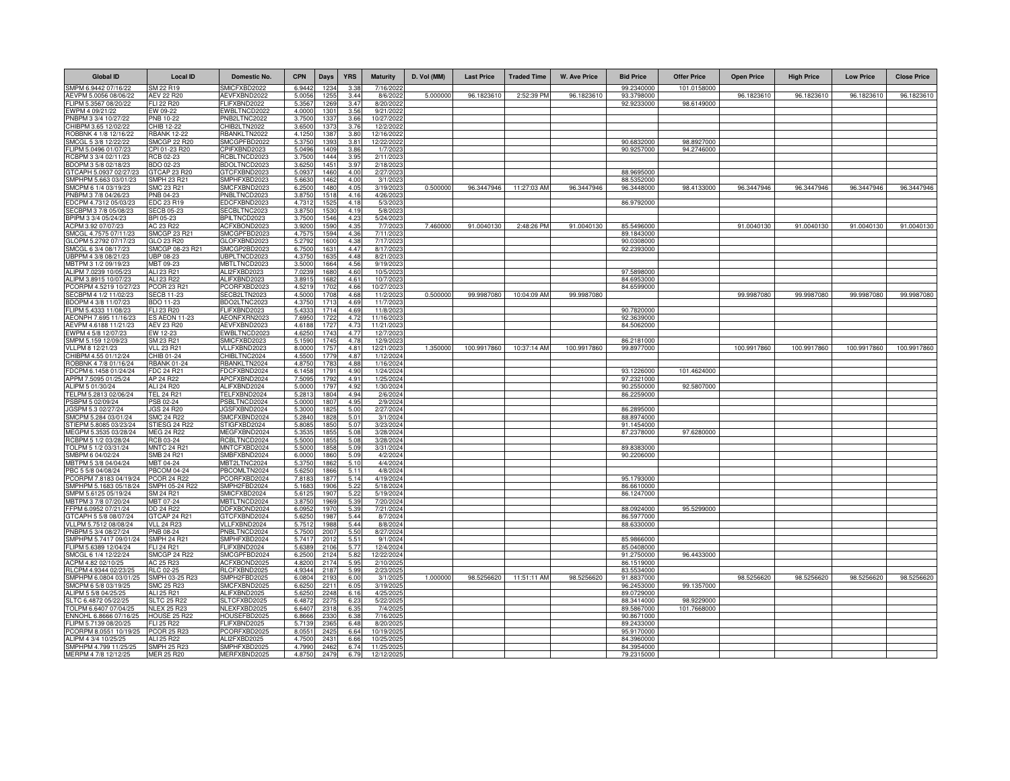| <b>Global ID</b>                                | <b>Local ID</b>                           | Domestic No.                 | <b>CPN</b>       | Days         | <b>YRS</b>    | <b>Maturity</b>         | D. Vol (MM) | <b>Last Price</b> | <b>Traded Time</b> | <b>W. Ave Price</b> | <b>Bid Price</b>         | <b>Offer Price</b>        | <b>Open Price</b> | <b>High Price</b> | <b>Low Price</b> | <b>Close Price</b> |
|-------------------------------------------------|-------------------------------------------|------------------------------|------------------|--------------|---------------|-------------------------|-------------|-------------------|--------------------|---------------------|--------------------------|---------------------------|-------------------|-------------------|------------------|--------------------|
| SMPM 6.9442 07/16/22                            | SM 22 R19                                 | SMICFXBD2022                 | 6.9442           | 1234         | 3.38          | 7/16/202                |             |                   |                    |                     | 99.2340000               | 101.0158000               |                   |                   |                  |                    |
| AEVPM 5.0056 08/06/22                           | <b>AEV 22 R20</b>                         | AEVFXBND2022                 | 5.0056           | 1255         | 3.44          | 8/6/2022                | 5.000000    | 96.1823610        | 2:52:39 PM         | 96.1823610          | 93.3798000               |                           | 96.1823610        | 96.1823610        | 96.1823610       | 96.1823610         |
| FLIPM 5.3567 08/20/22                           | FLI 22 R20                                | FLIFXBND2022                 | 5.3567           | 1269         | 3.47          | 8/20/2022               |             |                   |                    |                     | 92.9233000               | 98.6149000                |                   |                   |                  |                    |
| EWPM 4 09/21/22                                 | EW 09-22                                  | EWBLTNCD2022                 | 4.0000           | 1301<br>1337 | 3.56          | 9/21/2022               |             |                   |                    |                     |                          |                           |                   |                   |                  |                    |
| PNBPM 3 3/4 10/27/22<br>CHIBPM 3.65 12/02/22    | <b>PNB 10-22</b><br>CHIB 12-22            | PNB2LTNC2022<br>CHIB2LTN2022 | 3.7500<br>3.650  | 1373         | 3.66<br>3.76  | 10/27/2022<br>12/2/2022 |             |                   |                    |                     |                          |                           |                   |                   |                  |                    |
| ROBBNK 4 1/8 12/16/22                           | <b>RBANK 12-22</b>                        | RBANKLTN2022                 | 4.125            | 1387         | 3.8           | 12/16/202               |             |                   |                    |                     |                          |                           |                   |                   |                  |                    |
| SMCGL 5 3/8 12/22/22                            | SMCGP 22 R20                              | SMCGPFBD2022                 | 5.3750           | 1393         | $3.8^{\circ}$ | 12/22/2022              |             |                   |                    |                     | 90.6832000               | 98.8927000                |                   |                   |                  |                    |
| FLIPM 5.0496 01/07/23                           | CPI 01-23 R20                             | PIFXBND2023                  | 5.049            | 1409         | 3.86          | 1/7/2023                |             |                   |                    |                     | 90.9257000               | 94.2746000                |                   |                   |                  |                    |
| RCBPM 3 3/4 02/11/23                            | RCB 02-23                                 | RCBLTNCD2023                 | 3.7500           | 1444         | 3.95          | 2/11/2023               |             |                   |                    |                     |                          |                           |                   |                   |                  |                    |
| BDOPM 3 5/8 02/18/23                            | BDO 02-23                                 | BDOLTNCD2023                 | 3.625            | 1451         | 3.97          | 2/18/2023               |             |                   |                    |                     |                          |                           |                   |                   |                  |                    |
| GTCAPH 5.0937 02/27/23                          | GTCAP 23 R20                              | GTCFXBND2023                 | 5.0937           | 1460         | 4.00          | 2/27/2023               |             |                   |                    |                     | 88.9695000               |                           |                   |                   |                  |                    |
| SMPHPM 5.663 03/01/23<br>SMCPM 6 1/4 03/19/23   | SMPH 23 R21<br>SMC 23 R21                 | SMPHFXBD2023<br>MCFXBND2023  | 5.663<br>6.2500  | 1462<br>1480 | 4.00<br>4.05  | 3/1/202<br>3/19/2023    | 0.500000    | 96.3447946        | 11:27:03 AM        | 96.3447946          | 88.5352000<br>96.3448000 | 98.4133000                | 96.3447946        | 96.3447946        | 96.3447946       | 96.3447946         |
| PNBPM 3 7/8 04/26/23                            | PNB 04-23                                 | NBLTNCD2023                  | 3.8750           | 1518         | 4.16          | 4/26/202                |             |                   |                    |                     |                          |                           |                   |                   |                  |                    |
| EDCPM 4.7312 05/03/23                           | EDC 23 R19                                | EDCFXBND2023                 | 4.731            | 1525         | 4.18          | 5/3/2023                |             |                   |                    |                     | 86.9792000               |                           |                   |                   |                  |                    |
| SECBPM 3 7/8 05/08/23                           | <b>SECB 05-23</b>                         | <b>SECBLTNC2023</b>          | 3.8750           | 153          | 4.19          | 5/8/202                 |             |                   |                    |                     |                          |                           |                   |                   |                  |                    |
| BPIPM 3 3/4 05/24/23                            | BPI 05-23                                 | <b>BPILTNCD2023</b>          | 3.7500           | 1546         | 4.23          | 5/24/2023               |             |                   |                    |                     |                          |                           |                   |                   |                  |                    |
| ACPM 3.92 07/07/23                              | AC 23 R22                                 | ACFXBOND2023                 | 3.920            | 1590         | 4.35          | 7/7/2023                | 7.460000    | 91.0040130        | 2:48:26 PM         | 91.0040130          | 85.5496000               |                           | 91.0040130        | 91.0040130        | 91.0040130       | 91.0040130         |
| SMCGL 4.7575 07/11/23                           | SMCGP 23 R21                              | SMCGPFBD2023                 | 4.757            | 1594         | 4.36          | 7/11/2023               |             |                   |                    |                     | 89.1843000               |                           |                   |                   |                  |                    |
| GLOPM 5.2792 07/17/23<br>SMCGL 6 3/4 08/17/23   | GLO 23 R20<br>SMCGP 08-23 R21             | GLOFXBND2023<br>SMCGP2BD2023 | 5.2792<br>6.7500 | 1600<br>1631 | 4.38<br>4.47  | 7/17/2023<br>8/17/2023  |             |                   |                    |                     | 90.0308000<br>92.2393000 |                           |                   |                   |                  |                    |
| UBPPM 4 3/8 08/21/23                            | UBP 08-23                                 | UBPLTNCD2023                 | 4.375            | 163          | 4.48          | 8/21/2023               |             |                   |                    |                     |                          |                           |                   |                   |                  |                    |
| MBTPM 3 1/2 09/19/23                            | MBT 09-23                                 | MBTLTNCD2023                 | 3.500            | 166          | 4.56          | 9/19/2023               |             |                   |                    |                     |                          |                           |                   |                   |                  |                    |
| ALIPM 7.0239 10/05/23                           | ALI 23 R21                                | ALI2FXBD2023                 | 7.023            | 168          | 4.60          | 10/5/2023               |             |                   |                    |                     | 97.5898000               |                           |                   |                   |                  |                    |
| ALIPM 3.8915 10/07/23                           | ALI 23 R22                                | ALIFXBND2023                 | 3.891            | 1682         | 4.61          | 10/7/2023               |             |                   |                    |                     | 84.6953000               |                           |                   |                   |                  |                    |
| PCORPM 4.5219 10/27/23                          | PCOR 23 R21                               | PCORFXBD2023                 | 4.521            | 1702         | 4.66          | 10/27/2023              |             |                   |                    |                     | 84.6599000               |                           |                   |                   |                  |                    |
| SECBPM 4 1/2 11/02/23                           | <b>SECB 11-23</b>                         | SECB2LTN2023                 | 4.5000           | 1708         | 4.68          | 11/2/2023               | 0.500000    | 99.9987080        | 10:04:09 AM        | 99.9987080          |                          |                           | 99.9987080        | 99.9987080        | 99.9987080       | 99.9987080         |
| BDOPM 4 3/8 11/07/23                            | <b>BDO 11-23</b><br>FLI 23 R20            | BDO2LTNC2023<br>FLIFXBND2023 | 4.3750           | 1713         | 4.69<br>4.69  | 11/7/2023               |             |                   |                    |                     | 90.7820000               |                           |                   |                   |                  |                    |
| FLIPM 5.4333 11/08/23<br>AEONPH 7.695 11/16/23  | <b>ES AEON 11-23</b>                      | AEONFXRN2023                 | 5.433<br>7.6950  | 1714<br>1722 | 4.72          | 11/8/202<br>11/16/2023  |             |                   |                    |                     | 92.3639000               |                           |                   |                   |                  |                    |
| AEVPM 4.6188 11/21/23                           | <b>AEV 23 R20</b>                         | AEVFXBND2023                 | 4.6188           | 1727         | 4.73          | 11/21/2023              |             |                   |                    |                     | 84.5062000               |                           |                   |                   |                  |                    |
| EWPM 4 5/8 12/07/23                             | EW 12-23                                  | EWBLTNCD2023                 | 4.625            | 1743         | 4.77          | 12/7/202                |             |                   |                    |                     |                          |                           |                   |                   |                  |                    |
| SMPM 5.159 12/09/23                             | SM 23 R21                                 | SMICFXBD2023                 | 5.159            | 1745         | 4.78          | 12/9/202                |             |                   |                    |                     | 86.2181000               |                           |                   |                   |                  |                    |
| VLLPM 8 12/21/23                                | <b>VLL 23 R21</b>                         | VLLFXBND2023                 | 8.0000           | 1757         | 4.81          | 12/21/2023              | 1.350000    | 100.9917860       | 10:37:14 AM        | 100.9917860         | 99.8977000               |                           | 100.9917860       | 100.9917860       | 100.9917860      | 100.9917860        |
| CHIBPM 4.55 01/12/24                            | CHIB 01-24                                | CHIBLTNC2024                 | 4.5500           | 1779         | 4.87          | 1/12/2024               |             |                   |                    |                     |                          |                           |                   |                   |                  |                    |
| ROBBNK 4 7/8 01/16/24<br>FDCPM 6.1458 01/24/24  | <b>RBANK 01-24</b>                        | RBANKLTN2024<br>FDCFXBND2024 | 4.8750<br>6.1458 | 1783<br>1791 | 4.88<br>4.90  | 1/16/2024<br>1/24/2024  |             |                   |                    |                     | 93.1226000               |                           |                   |                   |                  |                    |
| APPM 7.5095 01/25/24                            | FDC 24 R21<br>AP 24 R22                   | APCFXBND2024                 | 7.509            | 1792         | 4.9           | 1/25/2024               |             |                   |                    |                     | 97.2321000               | 101.4624000               |                   |                   |                  |                    |
| ALIPM 5 01/30/24                                | ALI 24 R20                                | ALIFXBND2024                 | 5.000            | 179          | 4.92          | 1/30/2024               |             |                   |                    |                     | 90.2550000               | 92.5807000                |                   |                   |                  |                    |
| TELPM 5.2813 02/06/24                           | <b>TEL 24 R21</b>                         | TELFXBND2024                 | 5.281            | 1804         | 4.94          | 2/6/2024                |             |                   |                    |                     | 86.2259000               |                           |                   |                   |                  |                    |
| PSBPM 5 02/09/24                                | PSB 02-24                                 | PSBLTNCD2024                 | 5.000            | 1807         | 4.95          | 2/9/2024                |             |                   |                    |                     |                          |                           |                   |                   |                  |                    |
| JGSPM 5.3 02/27/24                              | <b>JGS 24 R20</b>                         | JGSFXBND2024                 | 5.300            | 182          | 5.00          | 2/27/2024               |             |                   |                    |                     | 86.2895000               |                           |                   |                   |                  |                    |
| SMCPM 5.284 03/01/24                            | <b>SMC 24 R22</b>                         | SMCFXBND2024                 | 5.2840           | 1828         | 5.01          | 3/1/2024                |             |                   |                    |                     | 88.8974000               |                           |                   |                   |                  |                    |
| STIEPM 5.8085 03/23/24<br>MEGPM 5.3535 03/28/24 | STIESG 24 R22<br><b>MEG 24 R22</b>        | STIGFXBD2024<br>MEGFXBND2024 | 5.808<br>5.353   | 1850         | 5.07<br>5.08  | 3/23/2024<br>3/28/2024  |             |                   |                    |                     | 91.1454000<br>87.2378000 | 97.6280000                |                   |                   |                  |                    |
| RCBPM 5 1/2 03/28/24                            | RCB 03-24                                 | RCBLTNCD2024                 | 5.5000           | 185<br>185   | 5.08          | 3/28/2024               |             |                   |                    |                     |                          |                           |                   |                   |                  |                    |
| OLPM 5 1/2 03/31/24                             | <b>MNTC 24 R21</b>                        | <b>MNTCFXBD2024</b>          | 5.5000           | 1858         | 5.09          | 3/31/2024               |             |                   |                    |                     | 89.8383000               |                           |                   |                   |                  |                    |
| SMBPM 6 04/02/24                                | SMB 24 R21                                | SMBFXBND2024                 | 6.0000           | 1860         | 5.09          | 4/2/2024                |             |                   |                    |                     | 90.2206000               |                           |                   |                   |                  |                    |
| MBTPM 5 3/8 04/04/24                            | MBT 04-24                                 | <b>MBT2LTNC2024</b>          | 5.3750           | 1862         | 5.10          | 4/4/2024                |             |                   |                    |                     |                          |                           |                   |                   |                  |                    |
| PBC 5 5/8 04/08/24                              | <b>PBCOM 04-24</b>                        | <b>BCOMLTN2024</b>           | 5.625            | 186          | 5.11          | 4/8/2024                |             |                   |                    |                     |                          |                           |                   |                   |                  |                    |
| PCORPM 7.8183 04/19/24                          | <b>PCOR 24 R22</b>                        | PCORFXBD2024                 | 7.8183           | 187          | 5.14          | 4/19/2024               |             |                   |                    |                     | 95.1793000               |                           |                   |                   |                  |                    |
| SMPHPM 5.1683 05/18/24<br>SMPM 5.6125 05/19/24  | SMPH 05-24 R22<br>SM 24 R21               | SMPH2FBD2024<br>SMICFXBD2024 | 5.168<br>5.6125  | 1906<br>1907 | 5.22<br>5.22  | 5/18/2024<br>5/19/2024  |             |                   |                    |                     | 86.6610000<br>86.1247000 |                           |                   |                   |                  |                    |
| MBTPM 3 7/8 07/20/24                            | MBT 07-24                                 | <b>MBTLTNCD2024</b>          | 3.875            | 1969         | 5.39          | 7/20/2024               |             |                   |                    |                     |                          |                           |                   |                   |                  |                    |
| FFPM 6.0952 07/21/24                            | DD 24 R22                                 | DDFXBOND2024                 | 6.095            | 1970         | 5.39          | 7/21/2024               |             |                   |                    |                     | 88.0924000               | 95.5299000                |                   |                   |                  |                    |
| GTCAPH 5 5/8 08/07/24                           | GTCAP 24 R21                              | GTCFXBND2024                 | 5.625            | 198          | 5.44          | 8/7/2024                |             |                   |                    |                     | 86.5977000               |                           |                   |                   |                  |                    |
| VLLPM 5.7512 08/08/24                           | VLL 24 B23                                | VLLFXBND2024                 | 5.751            | 198          | 5.44          | 8/8/2024                |             |                   |                    |                     | 88.6330000               |                           |                   |                   |                  |                    |
| PNBPM 5 3/4 08/27/24                            | PNB 08-24                                 | PNBLTNCD2024                 | 5.750            | 200          | 5.50          | 8/27/2024               |             |                   |                    |                     |                          |                           |                   |                   |                  |                    |
| SMPHPM 5.7417 09/01/24                          | <b>SMPH 24 R21</b><br>FLI 24 R21          | SMPHFXBD2024                 | 5.7417           | 2012         | 5.51          | 9/1/2024                |             |                   |                    |                     | 85.9866000               |                           |                   |                   |                  |                    |
| FLIPM 5.6389 12/04/24<br>SMCGL 6 1/4 12/22/24   | <b>SMCGP 24 R22</b>                       | FLIFXBND2024<br>SMCGPFBD2024 | 5.638<br>6.2500  | 2106<br>2124 | 5.77<br>5.82  | 12/4/2024<br>12/22/2024 |             |                   |                    |                     | 85.0408000<br>91.2750000 | 96.4433000                |                   |                   |                  |                    |
| ACPM 4.82 02/10/25                              | AC 25 R23                                 | <b>ACFXBOND2025</b>          | 4.820            | 2174         | 5.95          | 2/10/202                |             |                   |                    |                     | 86.1519000               |                           |                   |                   |                  |                    |
| RLCPM 4.9344 02/23/25                           | RLC 02-25                                 | RLCFXBND2025                 | 4.9344           | 2187         | 5.99          | 2/23/2025               |             |                   |                    |                     | 83.5534000               |                           |                   |                   |                  |                    |
| SMPHPM 6.0804 03/01/25                          | SMPH 03-25 R23                            | SMPH2FBD2025                 | 6.0804           | 2193         | 6.00          | 3/1/2025                | 1.000000    | 98.5256620        | 11:51:11 AM        | 98.5256620          | 91.8837000               |                           | 98.5256620        | 98.5256620        | 98.5256620       | 98.5256620         |
| SMCPM 6 5/8 03/19/25                            | SMC 25 R23                                | SMCFXBND2025                 | 6.6250           | 2211         | 6.05          | 3/19/202                |             |                   |                    |                     | 96.2453000               | 99.1357000                |                   |                   |                  |                    |
| ALIPM 5 5/8 04/25/25                            | ALI 25 R21                                | ALIFXBND2025                 | 5.6250           | 2248         | 6.16          | 4/25/202                |             |                   |                    |                     | 89.0729000               |                           |                   |                   |                  |                    |
| SLTC 6.4872 05/22/25                            | <b>SLTC 25 R22</b>                        | SLTCFXBD2025<br>NLEXFXBD2025 | 6.487            | 2275         | 6.23          | 5/22/2025<br>7/4/2025   |             |                   |                    |                     | 88.3414000               | 98.9229000<br>101.7668000 |                   |                   |                  |                    |
| TOLPM 6.6407 07/04/25<br>ENNOHL 6.8666 07/16/25 | <b>NLEX 25 R23</b><br><b>HOUSE 25 R22</b> | HOUSEFBD2025                 | 6.640<br>6.8666  | 2318<br>2330 | 6.35<br>6.38  | 7/16/2025               |             |                   |                    |                     | 89.5867000<br>90.8671000 |                           |                   |                   |                  |                    |
| FLIPM 5.7139 08/20/25                           | FLI 25 R22                                | FLIFXBND2025                 | 5.7139           | 2365         | 6.48          | 8/20/2025               |             |                   |                    |                     | 89.2433000               |                           |                   |                   |                  |                    |
| PCORPM 8.0551 10/19/25                          | <b>PCOR 25 R23</b>                        | PCORFXBD2025                 | 8.055            | 2425         | 6.64          | 10/19/2025              |             |                   |                    |                     | 95.9170000               |                           |                   |                   |                  |                    |
| ALIPM 4 3/4 10/25/25                            | ALI 25 R22                                | ALI2FXBD2025                 | 4.7500           | 243          | 6.66          | 10/25/202               |             |                   |                    |                     | 84.3960000               |                           |                   |                   |                  |                    |
| SMPHPM 4.799 11/25/25                           | <b>SMPH 25 R23</b>                        | SMPHFXBD2025                 | 4.7990           | 246          | 6.7           | 11/25/202               |             |                   |                    |                     | 84.3954000               |                           |                   |                   |                  |                    |
| MERPM 4 7/8 12/12/25                            | <b>MER 25 R20</b>                         | MERFXBND2025                 | 4.8750           | 2479         | 6.79          | 12/12/2025              |             |                   |                    |                     | 79.2315000               |                           |                   |                   |                  |                    |